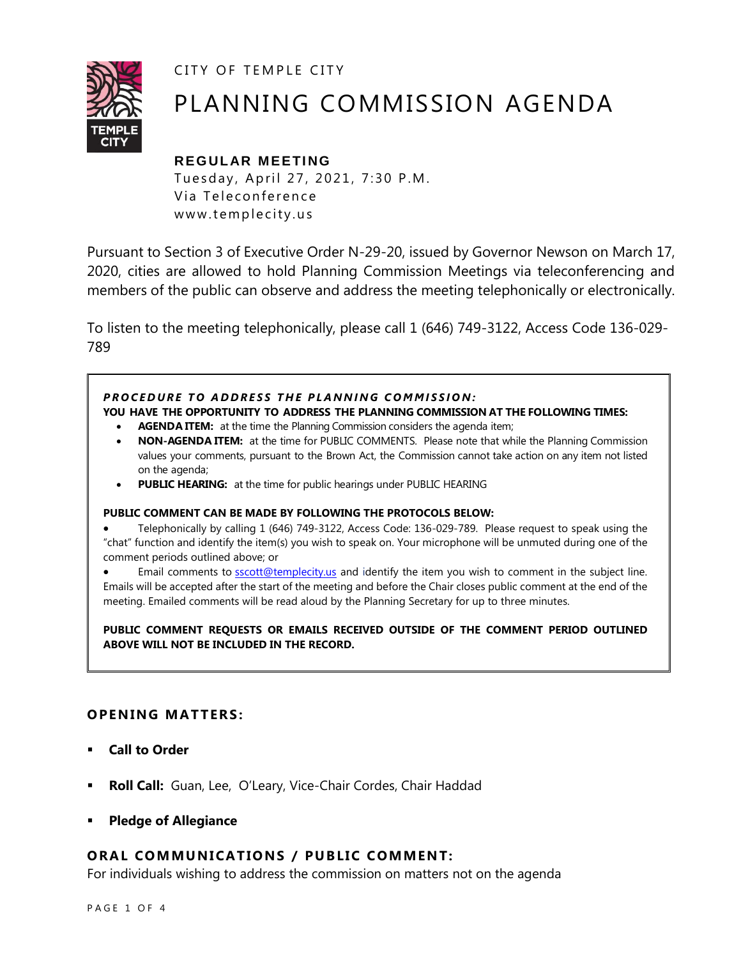CITY OF TEMPLE CITY



# PLANNING COMMISSION AGENDA

## **REGULAR MEETING**

Tuesday, April 27, 2021, 7:30 P.M. Via Teleconference www.templecity.us

Pursuant to Section 3 of Executive Order N-29-20, issued by Governor Newson on March 17, 2020, cities are allowed to hold Planning Commission Meetings via teleconferencing and members of the public can observe and address the meeting telephonically or electronically.

To listen to the meeting telephonically, please call 1 (646) 749-3122, Access Code 136-029- 789

#### **PROCEDURE TO ADDRESS THE PLANNING COMMISSION:**

**YOU HAVE THE OPPORTUNITY TO ADDRESS THE PLANNING COMMISSION AT THE FOLLOWING TIMES:**

- **AGENDA ITEM:** at the time the Planning Commission considers the agenda item;
- **NON-AGENDA ITEM:** at the time for PUBLIC COMMENTS. Please note that while the Planning Commission values your comments, pursuant to the Brown Act, the Commission cannot take action on any item not listed on the agenda;
- **PUBLIC HEARING:** at the time for public hearings under PUBLIC HEARING

#### **PUBLIC COMMENT CAN BE MADE BY FOLLOWING THE PROTOCOLS BELOW:**

 Telephonically by calling 1 (646) 749-3122, Access Code: 136-029-789. Please request to speak using the "chat" function and identify the item(s) you wish to speak on. Your microphone will be unmuted during one of the comment periods outlined above; or

Email comments to **[sscott@templecity.us](mailto:sscott@templecity.us)** and identify the item you wish to comment in the subject line. Emails will be accepted after the start of the meeting and before the Chair closes public comment at the end of the meeting. Emailed comments will be read aloud by the Planning Secretary for up to three minutes.

**PUBLIC COMMENT REQUESTS OR EMAILS RECEIVED OUTSIDE OF THE COMMENT PERIOD OUTLINED ABOVE WILL NOT BE INCLUDED IN THE RECORD.**

#### **OPENING MATTERS:**

- **Call to Order**
- **Roll Call:** Guan, Lee, O'Leary, Vice-Chair Cordes, Chair Haddad
- **Pledge of Allegiance**

#### **ORAL COMMUNICATIONS / PUBLIC COMMENT:**

For individuals wishing to address the commission on matters not on the agenda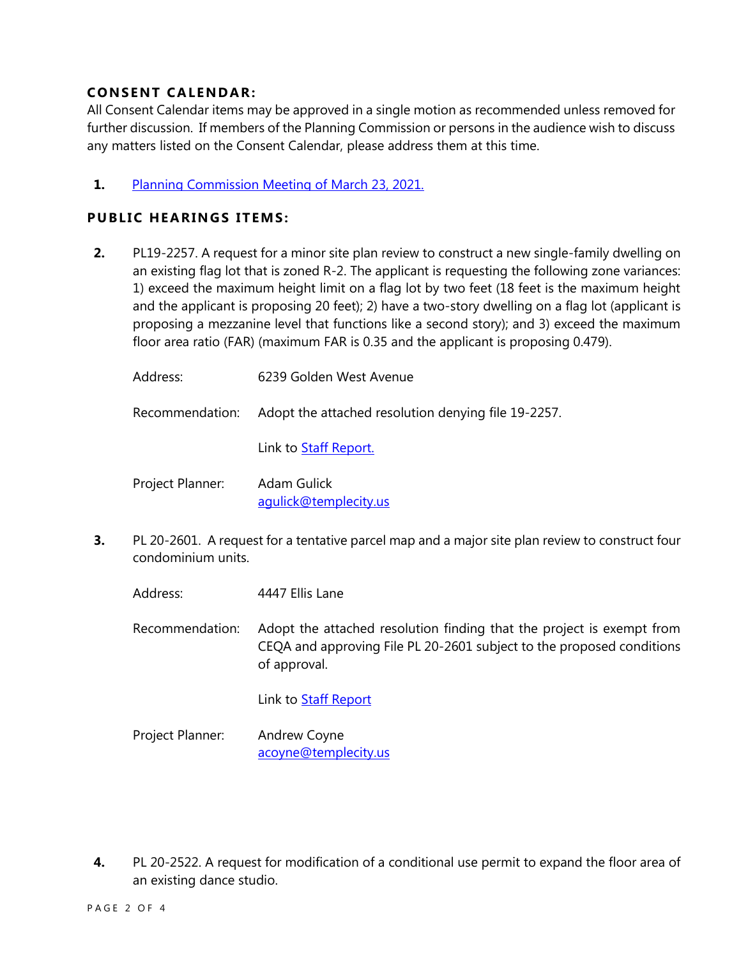### **CONSENT CA LENDAR:**

All Consent Calendar items may be approved in a single motion as recommended unless removed for further discussion. If members of the Planning Commission or persons in the audience wish to discuss any matters listed on the Consent Calendar, please address them at this time.

#### **1.** [Planning Commission Meeting of](https://www.ci.temple-city.ca.us/DocumentCenter/View/16173/PCM-323-minutes) March 23, 2021.

#### **PUBLIC HEARINGS ITEMS:**

**2.** PL19-2257. A request for a minor site plan review to construct a new single-family dwelling on an existing flag lot that is zoned R-2. The applicant is requesting the following zone variances: 1) exceed the maximum height limit on a flag lot by two feet (18 feet is the maximum height and the applicant is proposing 20 feet); 2) have a two-story dwelling on a flag lot (applicant is proposing a mezzanine level that functions like a second story); and 3) exceed the maximum floor area ratio (FAR) (maximum FAR is 0.35 and the applicant is proposing 0.479).

| Address:         | 6239 Golden West Avenue                             |
|------------------|-----------------------------------------------------|
| Recommendation:  | Adopt the attached resolution denying file 19-2257. |
|                  | Link to Staff Report.                               |
| Project Planner: | Adam Gulick<br>aqulick@templecity.us                |

- **3.** PL 20-2601. A request for a tentative parcel map and a major site plan review to construct four condominium units.
	- Address: 4447 Ellis Lane

Recommendation: Adopt the attached resolution finding that the project is exempt from CEQA and approving File PL 20-2601 subject to the proposed conditions of approval.

Link to [Staff Report](https://www.ci.temple-city.ca.us/DocumentCenter/View/16174/PL-20-2601-4447-Ellis-Lane-attachment-3)

Project Planner: Andrew Coyne acoyne@templecity.us

**4.** PL 20-2522. A request for modification of a conditional use permit to expand the floor area of an existing dance studio.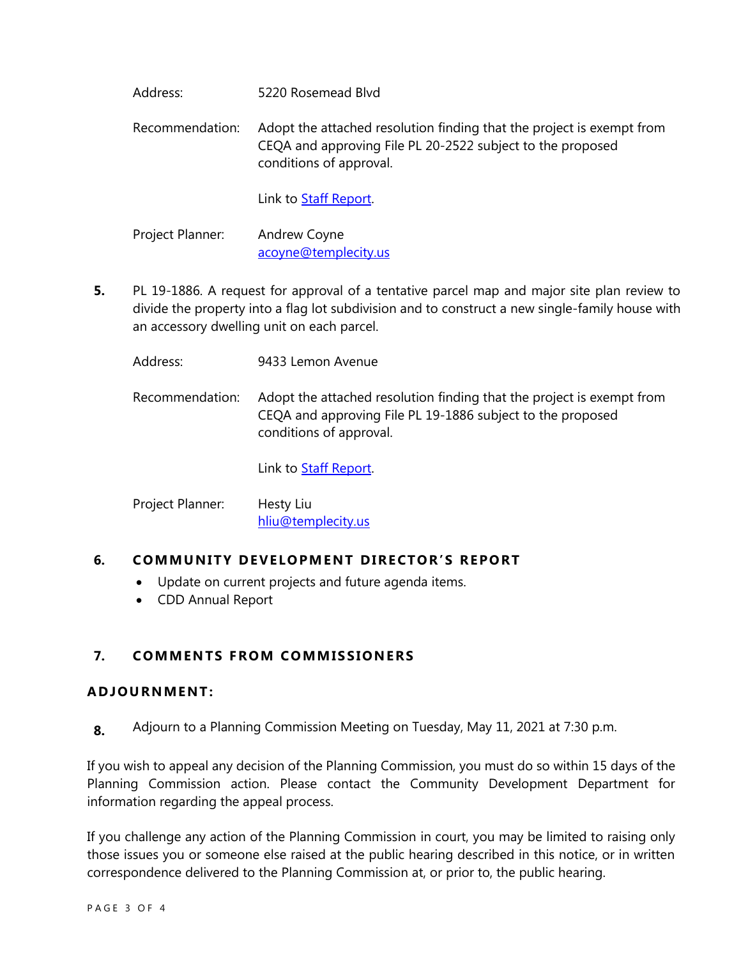Address: 5220 Rosemead Blvd

Recommendation: Adopt the attached resolution finding that the project is exempt from CEQA and approving File PL 20-2522 subject to the proposed conditions of approval.

Link to **Staff Report**.

Project Planner: Andrew Coyne acoyne@templecity.us

- **5.** PL 19-1886. A request for approval of a tentative parcel map and major site plan review to divide the property into a flag lot subdivision and to construct a new single-family house with an accessory dwelling unit on each parcel.
	- Address: 9433 Lemon Avenue
	- Recommendation: Adopt the attached resolution finding that the project is exempt from CEQA and approving File PL 19-1886 subject to the proposed conditions of approval.

Link to **Staff Report**.

Project Planner: Hesty Liu hliu@templecity.us

#### **6. COMMUNITY DEVELOPMENT DIRECTOR'S REPORT**

- Update on current projects and future agenda items.
- CDD Annual Report

#### **7. COMMEN TS F ROM COMM ISSIONE RS**

#### **ADJOU RNMENT:**

**8.** Adjourn to a Planning Commission Meeting on Tuesday, May 11, 2021 at 7:30 p.m.

If you wish to appeal any decision of the Planning Commission, you must do so within 15 days of the Planning Commission action. Please contact the Community Development Department for information regarding the appeal process.

If you challenge any action of the Planning Commission in court, you may be limited to raising only those issues you or someone else raised at the public hearing described in this notice, or in written correspondence delivered to the Planning Commission at, or prior to, the public hearing.